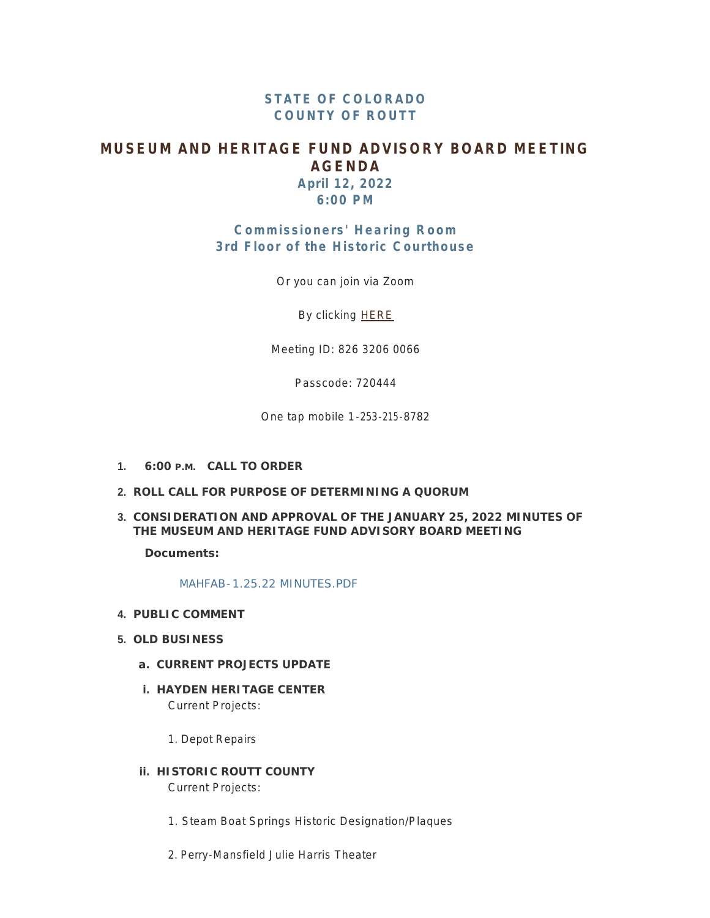## **STATE OF COLORADO COUNTY OF ROUTT**

## **MUSEUM AND HERITAGE FUND ADVISORY BOARD MEETING AGENDA**

**April 12, 2022 6:00 PM**

# **Commissioners' Hearing Room 3rd Floor of the Historic Courthouse**

Or you can join via Zoom

By clicking [HERE](http://join%20zoom%20meeting%20https//us02web.zoom.us/j/82632060066?pwd=WUUxcisyTTNISEZDcmtlb3FJZkE4Zz09 Meeting ID: 826 3206 0066 Passcode: 720444)

Meeting ID: 826 3206 0066

Passcode: 720444

One tap mobile 1-253-215-8782

- **CALL TO ORDER 1. 6:00 P.M.**
- **ROLL CALL FOR PURPOSE OF DETERMINING A QUORUM 2.**
- **CONSIDERATION AND APPROVAL OF THE JANUARY 25, 2022 MINUTES OF 3. THE MUSEUM AND HERITAGE FUND ADVISORY BOARD MEETING**

**Documents:**

[MAHFAB-1.25.22 MINUTES.PDF](http://www.co.routt.co.us/AgendaCenter/ViewFile/Item/18391?fileID=16414)

- **PUBLIC COMMENT 4.**
- **OLD BUSINESS 5.**
	- **CURRENT PROJECTS UPDATE a.**
	- **HAYDEN HERITAGE CENTER i.** Current Projects:
		- 1. Depot Repairs
	- **HISTORIC ROUTT COUNTY ii.** Current Projects:
		- 1. Steam Boat Springs Historic Designation/Plaques
		- 2. Perry-Mansfield Julie Harris Theater